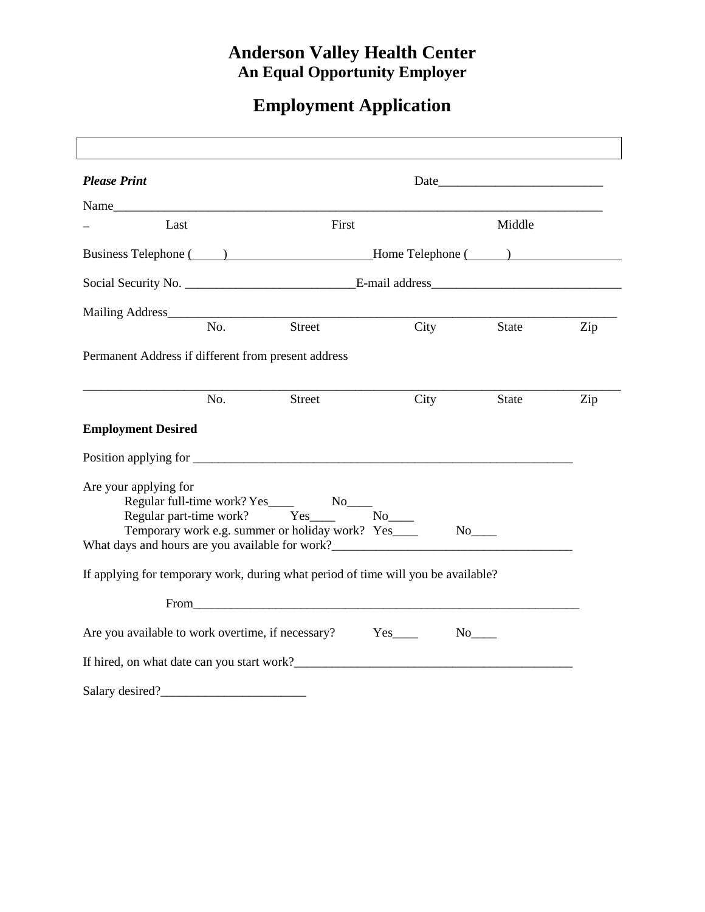## **Anderson Valley Health Center An Equal Opportunity Employer**

## **Employment Application**

| <b>Please Print</b>                                                               |     |                                                                                                                                                                                                                                |                      |                       |     |
|-----------------------------------------------------------------------------------|-----|--------------------------------------------------------------------------------------------------------------------------------------------------------------------------------------------------------------------------------|----------------------|-----------------------|-----|
| Name                                                                              |     |                                                                                                                                                                                                                                |                      |                       |     |
| Last                                                                              |     | First                                                                                                                                                                                                                          |                      | Middle                |     |
|                                                                                   |     |                                                                                                                                                                                                                                |                      |                       |     |
|                                                                                   |     |                                                                                                                                                                                                                                |                      |                       |     |
|                                                                                   |     |                                                                                                                                                                                                                                |                      |                       |     |
|                                                                                   | No. | Street                                                                                                                                                                                                                         | City                 | State                 | Zip |
| Permanent Address if different from present address                               |     |                                                                                                                                                                                                                                |                      |                       |     |
|                                                                                   | No. | <b>Street</b>                                                                                                                                                                                                                  | City                 | <b>State</b>          | Zip |
| <b>Employment Desired</b>                                                         |     |                                                                                                                                                                                                                                |                      |                       |     |
|                                                                                   |     |                                                                                                                                                                                                                                |                      |                       |     |
| Are your applying for<br>What days and hours are you available for work?          |     | Regular part-time work? Yes<br>Temporary work e.g. summer or holiday work? Yes____                                                                                                                                             | $No$ <sub>____</sub> | $No$ <sub>_____</sub> |     |
| If applying for temporary work, during what period of time will you be available? |     |                                                                                                                                                                                                                                |                      |                       |     |
|                                                                                   |     | From the contract of the contract of the contract of the contract of the contract of the contract of the contract of the contract of the contract of the contract of the contract of the contract of the contract of the contr |                      |                       |     |
| Are you available to work overtime, if necessary? Yes____                         |     |                                                                                                                                                                                                                                |                      |                       |     |
| If hired, on what date can you start work?                                        |     |                                                                                                                                                                                                                                |                      |                       |     |
| Salary desired?                                                                   |     |                                                                                                                                                                                                                                |                      |                       |     |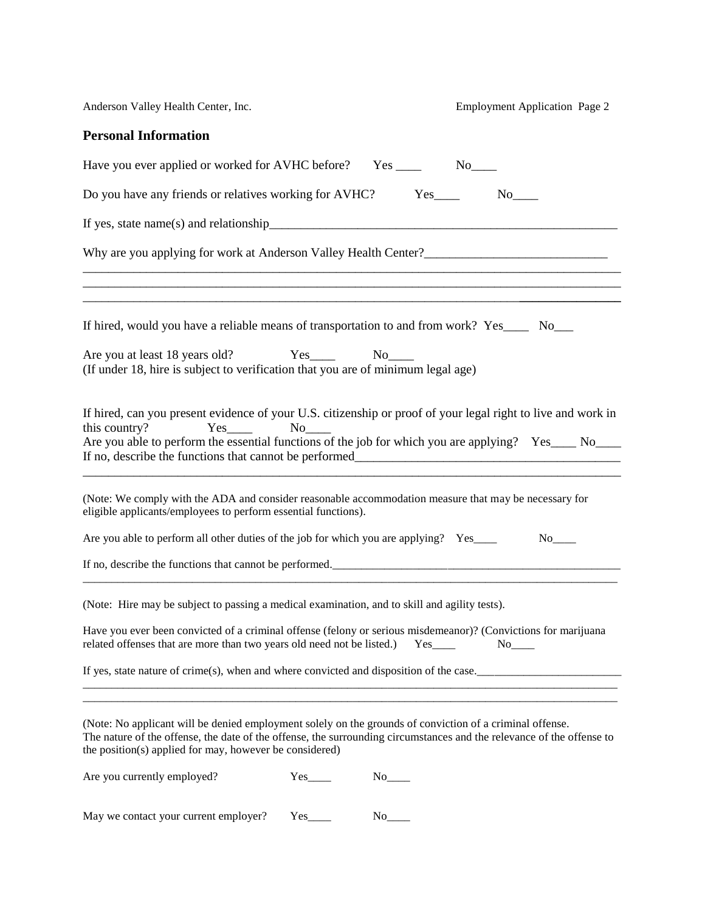Anderson Valley Health Center, Inc. Employment Application Page 2 **Personal Information** Have you ever applied or worked for AVHC before? Yes \_\_\_\_\_ No\_\_\_\_ Do you have any friends or relatives working for AVHC? Yes\_\_\_\_ No\_\_\_\_ If yes, state name(s) and relationship\_\_\_\_\_\_\_\_\_\_\_\_\_\_\_\_\_\_\_\_\_\_\_\_\_\_\_\_\_\_\_\_\_\_\_\_\_\_\_\_\_\_\_\_\_\_\_\_\_\_\_\_\_\_\_ Why are you applying for work at Anderson Valley Health Center? \_\_\_\_\_\_\_\_\_\_\_\_\_\_\_\_\_\_\_\_\_\_\_\_\_\_\_\_\_\_\_\_\_\_\_\_\_\_\_\_\_\_\_\_\_\_\_\_\_\_\_\_\_\_\_\_\_\_\_\_\_\_\_\_\_\_\_\_\_\_\_\_\_\_\_\_\_\_\_\_\_\_\_\_\_ \_\_\_\_\_\_\_\_\_\_\_\_\_\_\_\_\_\_\_\_\_\_\_\_\_\_\_\_\_\_\_\_\_\_\_\_\_\_\_\_\_\_\_\_\_\_\_\_\_\_\_\_\_\_\_\_\_\_\_\_\_\_\_\_\_\_\_\_\_\_\_\_\_\_\_\_\_\_\_\_\_\_\_\_\_ \_\_\_\_\_\_\_\_\_\_\_\_\_\_\_\_\_\_\_\_\_\_\_\_\_\_\_\_\_\_\_\_\_\_\_\_\_\_\_\_\_\_\_\_\_\_\_\_\_\_\_\_\_\_\_\_\_\_\_\_\_\_\_\_\_\_\_\_\_**\_\_\_\_\_\_\_\_\_\_\_\_\_\_\_\_** If hired, would you have a reliable means of transportation to and from work? Yes No Are you at least 18 years old? Yes No (If under 18, hire is subject to verification that you are of minimum legal age) If hired, can you present evidence of your U.S. citizenship or proof of your legal right to live and work in this country? Yes No Are you able to perform the essential functions of the job for which you are applying? Yes\_\_\_\_ No\_\_\_\_ If no, describe the functions that cannot be performed\_\_\_\_\_\_\_\_\_\_\_\_\_\_\_\_\_\_\_\_\_\_\_\_\_\_\_\_\_\_\_\_\_\_\_\_\_\_\_\_\_\_ \_\_\_\_\_\_\_\_\_\_\_\_\_\_\_\_\_\_\_\_\_\_\_\_\_\_\_\_\_\_\_\_\_\_\_\_\_\_\_\_\_\_\_\_\_\_\_\_\_\_\_\_\_\_\_\_\_\_\_\_\_\_\_\_\_\_\_\_\_\_\_\_\_\_\_\_\_\_\_\_\_\_\_\_\_ (Note: We comply with the ADA and consider reasonable accommodation measure that may be necessary for eligible applicants/employees to perform essential functions). Are you able to perform all other duties of the job for which you are applying? Yes No If no, describe the functions that cannot be performed.\_\_\_\_\_\_\_\_\_\_\_\_\_\_\_\_\_\_\_\_\_\_\_\_\_\_\_\_\_\_\_\_\_\_\_\_\_\_\_\_\_\_\_\_\_\_\_\_\_\_  $\overline{a}$  , and the contribution of the contribution of the contribution of the contribution of the contribution of the contribution of the contribution of the contribution of the contribution of the contribution of the co (Note: Hire may be subject to passing a medical examination, and to skill and agility tests). Have you ever been convicted of a criminal offense (felony or serious misdemeanor)? (Convictions for marijuana related offenses that are more than two years old need not be listed.) Yes No If yes, state nature of crime(s), when and where convicted and disposition of the case.\_\_\_\_\_\_\_\_\_\_\_\_\_\_\_\_\_\_\_\_\_\_\_\_\_  $\_$  ,  $\_$  ,  $\_$  ,  $\_$  ,  $\_$  ,  $\_$  ,  $\_$  ,  $\_$  ,  $\_$  ,  $\_$  ,  $\_$  ,  $\_$  ,  $\_$  ,  $\_$  ,  $\_$  ,  $\_$  ,  $\_$  ,  $\_$  ,  $\_$  ,  $\_$  ,  $\_$  ,  $\_$  ,  $\_$  ,  $\_$  ,  $\_$  ,  $\_$  ,  $\_$  ,  $\_$  ,  $\_$  ,  $\_$  ,  $\_$  ,  $\_$  ,  $\_$  ,  $\_$  ,  $\_$  ,  $\_$  ,  $\_$  ,  $\_$  ,  $\_$  ,  $\_$  ,  $\_$  ,  $\_$  ,  $\_$  ,  $\_$  ,  $\_$  ,  $\_$  ,  $\_$  ,  $\_$  ,  $\_$  ,  $\_$  ,  $\_$  ,  $\_$  ,  $\_$  ,  $\_$  ,  $\_$  ,  $\_$  ,  $\_$  ,  $\_$  ,  $\_$  ,  $\_$  ,  $\_$  ,  $\_$  ,  $\_$  ,  $\_$  ,  $\_$  ,  $\_$  ,  $\_$  ,  $\_$  ,  $\_$  ,  $\_$  ,  $\_$  ,  $\_$  ,  $\_$  ,  $\_$  , (Note: No applicant will be denied employment solely on the grounds of conviction of a criminal offense. The nature of the offense, the date of the offense, the surrounding circumstances and the relevance of the offense to the position(s) applied for may, however be considered) Are you currently employed?  $Yes_$  No\_\_\_\_ May we contact your current employer? Yes\_\_\_\_\_ No\_\_\_\_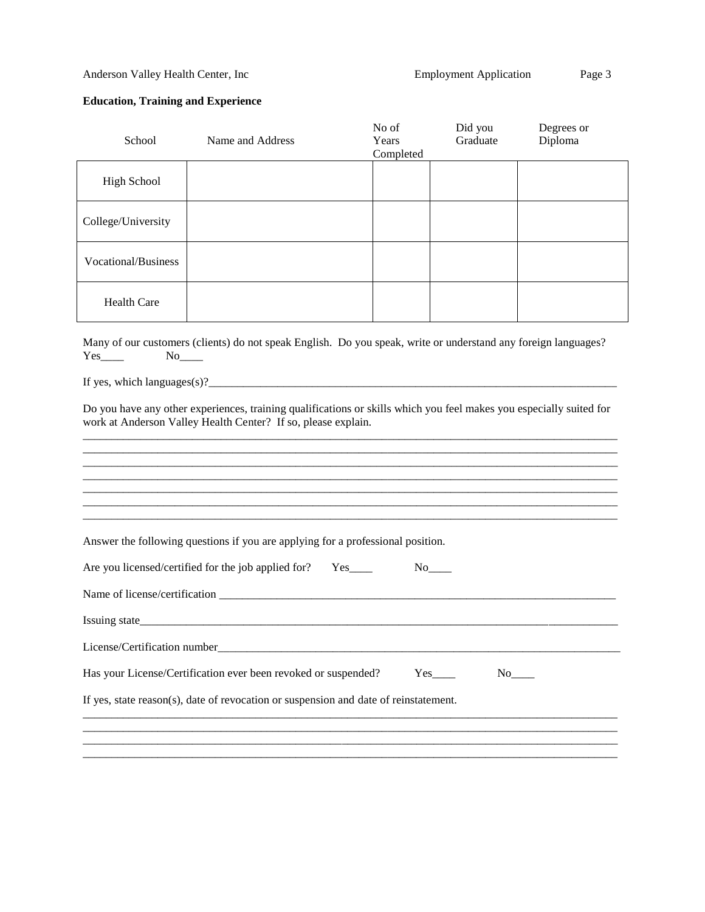## **Education, Training and Experience**

| School                                                                                                                                                                               | Name and Address                                                                | No of<br>Years<br>Completed | Did you<br>Graduate | Degrees or<br>Diploma |  |  |
|--------------------------------------------------------------------------------------------------------------------------------------------------------------------------------------|---------------------------------------------------------------------------------|-----------------------------|---------------------|-----------------------|--|--|
| <b>High School</b>                                                                                                                                                                   |                                                                                 |                             |                     |                       |  |  |
| College/University                                                                                                                                                                   |                                                                                 |                             |                     |                       |  |  |
| Vocational/Business                                                                                                                                                                  |                                                                                 |                             |                     |                       |  |  |
| <b>Health Care</b>                                                                                                                                                                   |                                                                                 |                             |                     |                       |  |  |
| Many of our customers (clients) do not speak English. Do you speak, write or understand any foreign languages?<br>$Yes$ <sub>_____</sub>                                             |                                                                                 |                             |                     |                       |  |  |
|                                                                                                                                                                                      |                                                                                 |                             |                     |                       |  |  |
| Do you have any other experiences, training qualifications or skills which you feel makes you especially suited for<br>work at Anderson Valley Health Center? If so, please explain. |                                                                                 |                             |                     |                       |  |  |
|                                                                                                                                                                                      |                                                                                 |                             |                     |                       |  |  |
|                                                                                                                                                                                      |                                                                                 |                             |                     |                       |  |  |
|                                                                                                                                                                                      |                                                                                 |                             |                     |                       |  |  |
|                                                                                                                                                                                      |                                                                                 |                             |                     |                       |  |  |
|                                                                                                                                                                                      | Answer the following questions if you are applying for a professional position. |                             |                     |                       |  |  |
|                                                                                                                                                                                      | Are you licensed/certified for the job applied for?<br>$Yes$ <sub>____</sub>    |                             |                     |                       |  |  |
|                                                                                                                                                                                      |                                                                                 |                             |                     |                       |  |  |
|                                                                                                                                                                                      |                                                                                 |                             |                     |                       |  |  |
| License/Certification number_                                                                                                                                                        |                                                                                 |                             |                     |                       |  |  |
| Has your License/Certification ever been revoked or suspended?                                                                                                                       |                                                                                 |                             |                     |                       |  |  |
| If yes, state reason(s), date of revocation or suspension and date of reinstatement.                                                                                                 |                                                                                 |                             |                     |                       |  |  |
|                                                                                                                                                                                      |                                                                                 |                             |                     |                       |  |  |
|                                                                                                                                                                                      |                                                                                 |                             |                     |                       |  |  |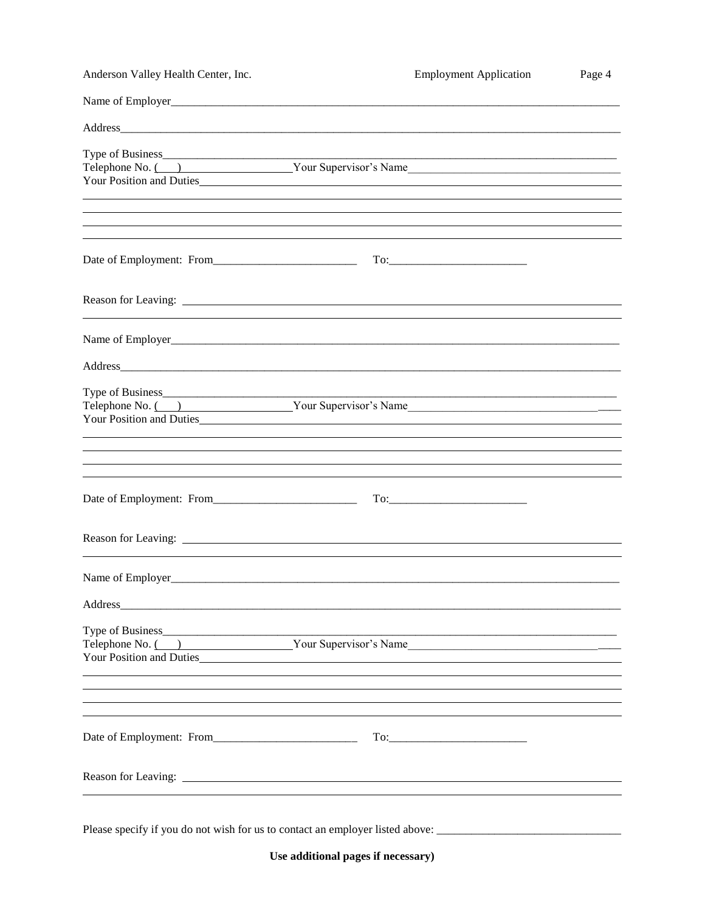| Anderson Valley Health Center, Inc.                                                                                                                                  | <b>Employment Application</b>                                                                           | Page 4 |
|----------------------------------------------------------------------------------------------------------------------------------------------------------------------|---------------------------------------------------------------------------------------------------------|--------|
| Name of Employer<br><u>Name of Employer</u>                                                                                                                          |                                                                                                         |        |
|                                                                                                                                                                      |                                                                                                         |        |
| Telephone No. ( ) Your Supervisor's Name                                                                                                                             |                                                                                                         |        |
| Your Position and Duties                                                                                                                                             |                                                                                                         |        |
| ,我们也不会有什么。""我们的人,我们也不会有什么?""我们的人,我们也不会有什么?""我们的人,我们也不会有什么?""我们的人,我们也不会有什么?""我们的人<br>,我们也不会有什么。""我们的人,我们也不会有什么?""我们的人,我们也不会有什么?""我们的人,我们也不会有什么?""我们的人,我们也不会有什么?""我们的人 |                                                                                                         |        |
| Date of Employment: From                                                                                                                                             | $To: \begin{tabular}{ c c c c } \hline \quad \quad & \quad \quad & \quad \quad \\ \hline \end{tabular}$ |        |
|                                                                                                                                                                      |                                                                                                         |        |
|                                                                                                                                                                      |                                                                                                         |        |
|                                                                                                                                                                      |                                                                                                         |        |
| Telephone No. ( ) Your Supervisor's Name<br>Your Position and Duties                                                                                                 |                                                                                                         |        |
| ,我们也不会有什么?""我们的人,我们也不会有什么?""我们的人,我们也不会有什么?""我们的人,我们也不会有什么?""我们的人,我们也不会有什么?""我们的人                                                                                     |                                                                                                         |        |
|                                                                                                                                                                      |                                                                                                         |        |
|                                                                                                                                                                      |                                                                                                         |        |
|                                                                                                                                                                      |                                                                                                         |        |
|                                                                                                                                                                      |                                                                                                         |        |
| Type of Business<br>Telephone No. ( ) Your Supervisor's Name<br>Your Position and Duties                                                                             |                                                                                                         |        |
| ,我们也不会有什么。""我们的人,我们也不会有什么?""我们的人,我们也不会有什么?""我们的人,我们也不会有什么?""我们的人,我们也不会有什么?""我们的人                                                                                     |                                                                                                         |        |
|                                                                                                                                                                      |                                                                                                         |        |
|                                                                                                                                                                      |                                                                                                         |        |
|                                                                                                                                                                      |                                                                                                         |        |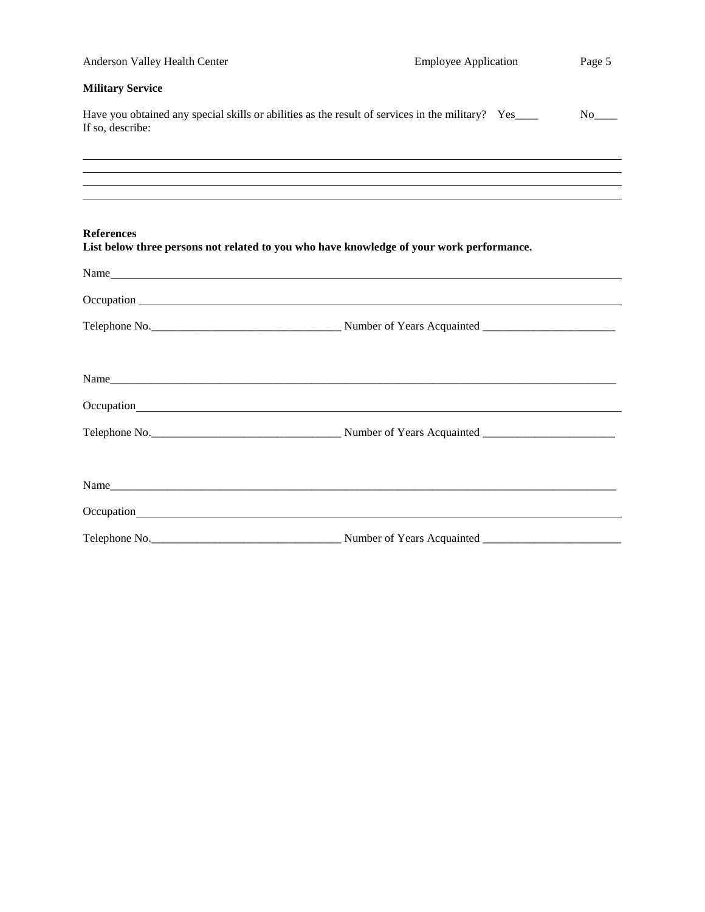| Anderson Valley Health Center | <b>Employee Application</b>                                                                      | Page 5                |
|-------------------------------|--------------------------------------------------------------------------------------------------|-----------------------|
| <b>Military Service</b>       |                                                                                                  |                       |
| If so, describe:              | Have you obtained any special skills or abilities as the result of services in the military? Yes | $No$ <sub>_____</sub> |
|                               |                                                                                                  |                       |
|                               |                                                                                                  |                       |
|                               |                                                                                                  |                       |
| <b>References</b>             | List below three persons not related to you who have knowledge of your work performance.         |                       |
|                               | Name                                                                                             |                       |
|                               |                                                                                                  |                       |
|                               |                                                                                                  |                       |
|                               |                                                                                                  |                       |
|                               | Name                                                                                             |                       |
|                               |                                                                                                  |                       |
|                               |                                                                                                  |                       |
|                               |                                                                                                  |                       |
|                               | Name                                                                                             |                       |
|                               |                                                                                                  |                       |
|                               |                                                                                                  |                       |